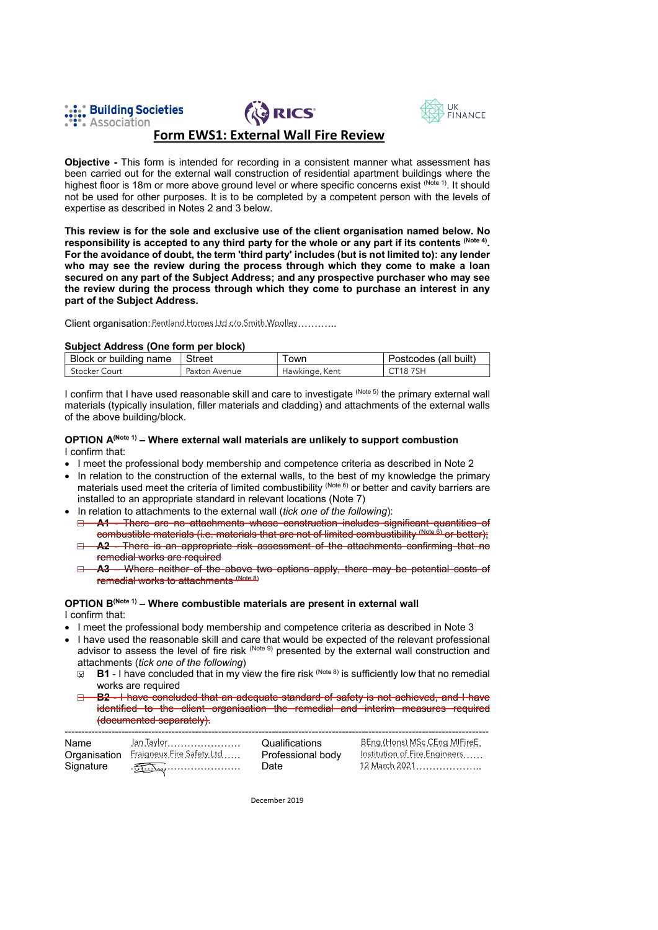





# **Form EWS1: External Wall Fire Review**

Objective - This form is intended for recording in a consistent manner what assessment has been carried out for the external wall construction of residential apartment buildings where the highest floor is 18m or more above ground level or where specific concerns exist (Note 1). It should not be used for other purposes. It is to be completed by a competent person with the levels of expertise as described in Notes 2 and 3 below.

This review is for the sole and exclusive use of the client organisation named below. No responsibility is accepted to any third party for the whole or any part if its contents (Note 4). For the avoidance of doubt, the term 'third party' includes (but is not limited to): any lender who may see the review during the process through which they come to make a loan secured on any part of the Subject Address; and any prospective purchaser who may see the review during the process through which they come to purchase an interest in any part of the Subject Address.

Client organisation: Pentland Homes Ltd c/o. Smith Woolley............

## Subject Address (One form per block)

| Block or building name | Street        | own            | Postcodes (all built) |
|------------------------|---------------|----------------|-----------------------|
| Stocker Court          | Paxton Avenue | Hawkinge, Kent | <sup>ተ</sup> 18 7SH ፣ |

I confirm that I have used reasonable skill and care to investigate (Note 5) the primary external wall materials (typically insulation, filler materials and cladding) and attachments of the external walls of the above building/block.

#### OPTION A(Note 1) - Where external wall materials are unlikely to support combustion I confirm that:

- I meet the professional body membership and competence criteria as described in Note 2
- In relation to the construction of the external walls, to the best of my knowledge the primary materials used meet the criteria of limited combustibility (Note 6) or better and cavity barriers are installed to an appropriate standard in relevant locations (Note 7)
- In relation to attachments to the external wall (tick one of the following):

A1 - There are no attachments whose construction includes significant quantities of  $\Box$ combustible materials (i.e. materials that are not of limited combustibility (Note 6) or better);

- A2 There is an appropriate risk assessment of the attachments confirming that no  $\Box$ remedial works are required
- A3 Where neither of the above two options apply, there may be potential costs of  $\Box$ remedial works to attachments (Note 8)

# OPTION B(Note 1) - Where combustible materials are present in external wall

I confirm that:

- I meet the professional body membership and competence criteria as described in Note 3
- I have used the reasonable skill and care that would be expected of the relevant professional advisor to assess the level of fire risk  $(Note 9)$  presented by the external wall construction and attachments (tick one of the following)
	- **B1** I have concluded that in my view the fire risk  $^{(\text{Note 8})}$  is sufficiently low that no remedial  $\overline{\mathbf{y}}$ works are required
	- **B2 I have concluded that an adequate standard of safety is not achieved, and I have** identified to the client organisation the remedial and interim measures required (documented separately).

| Name<br>Signature | Organisation Fraigneux Fire Safety Ltd<br>$\sqrt{2\pi\sum_{\alpha}(\sum_{\alpha}(\sum_{\alpha}(\sum_{\alpha}(\alpha)_{\alpha}(\alpha)))^{2}}$ | Qualifications<br>Professional body<br>Date | BEng (Hons) MSc CEng MIFireE<br>Institution of Fire Engineers<br>12 March 2021 |
|-------------------|-----------------------------------------------------------------------------------------------------------------------------------------------|---------------------------------------------|--------------------------------------------------------------------------------|
|-------------------|-----------------------------------------------------------------------------------------------------------------------------------------------|---------------------------------------------|--------------------------------------------------------------------------------|

December 2019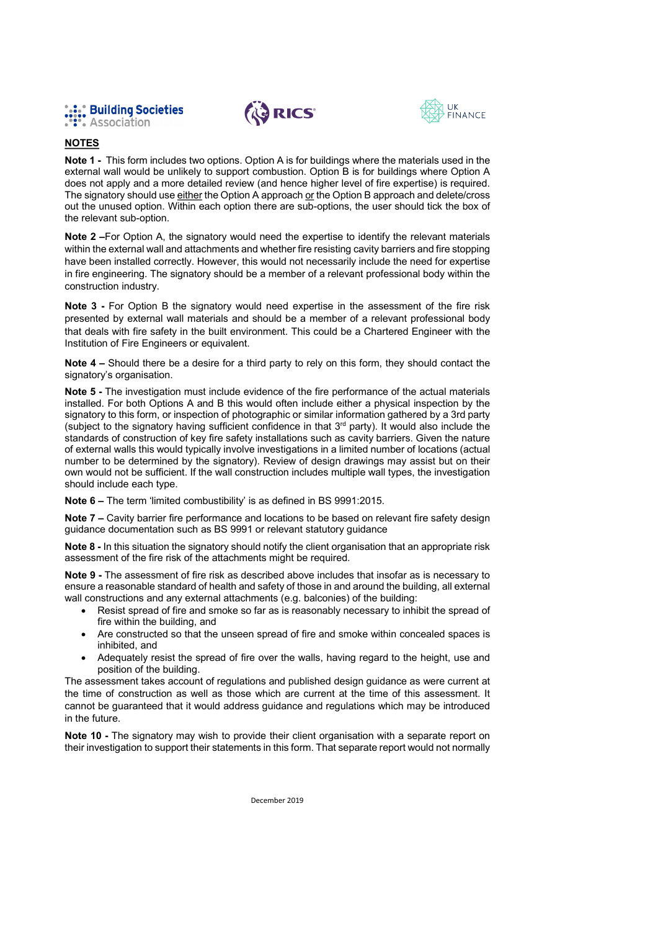





## **NOTES**

Note 1 - This form includes two options. Option A is for buildings where the materials used in the external wall would be unlikely to support combustion. Option B is for buildings where Option A does not apply and a more detailed review (and hence higher level of fire expertise) is required. The signatory should use either the Option A approach or the Option B approach and delete/cross out the unused option. Within each option there are sub-options, the user should tick the box of the relevant sub-option.

Note 2-For Option A, the signatory would need the expertise to identify the relevant materials within the external wall and attachments and whether fire resisting cavity barriers and fire stopping have been installed correctly. However, this would not necessarily include the need for expertise in fire engineering. The signatory should be a member of a relevant professional body within the construction industry.

Note 3 - For Option B the signatory would need expertise in the assessment of the fire risk presented by external wall materials and should be a member of a relevant professional body that deals with fire safety in the built environment. This could be a Chartered Engineer with the Institution of Fire Engineers or equivalent.

Note 4 - Should there be a desire for a third party to rely on this form, they should contact the signatory's organisation.

Note 5 - The investigation must include evidence of the fire performance of the actual materials installed. For both Options A and B this would often include either a physical inspection by the signatory to this form, or inspection of photographic or similar information gathered by a 3rd party (subject to the signatory having sufficient confidence in that 3<sup>rd</sup> party). It would also include the standards of construction of key fire safety installations such as cavity barriers. Given the nature of external walls this would typically involve investigations in a limited number of locations (actual number to be determined by the signatory). Review of design drawings may assist but on their own would not be sufficient. If the wall construction includes multiple wall types, the investigation should include each type.

Note 6 - The term 'limited combustibility' is as defined in BS 9991:2015.

Note 7 – Cavity barrier fire performance and locations to be based on relevant fire safety design guidance documentation such as BS 9991 or relevant statutory guidance

Note 8 - In this situation the signatory should notify the client organisation that an appropriate risk assessment of the fire risk of the attachments might be required.

Note 9 - The assessment of fire risk as described above includes that insofar as is necessary to ensure a reasonable standard of health and safety of those in and around the building, all external wall constructions and any external attachments (e.g. balconies) of the building:

- Resist spread of fire and smoke so far as is reasonably necessary to inhibit the spread of fire within the building, and
- Are constructed so that the unseen spread of fire and smoke within concealed spaces is  $\bullet$ inhibited, and
- Adequately resist the spread of fire over the walls, having regard to the height, use and position of the building.

The assessment takes account of regulations and published design guidance as were current at the time of construction as well as those which are current at the time of this assessment. It cannot be guaranteed that it would address guidance and regulations which may be introduced in the future.

Note 10 - The signatory may wish to provide their client organisation with a separate report on their investigation to support their statements in this form. That separate report would not normally

December 2019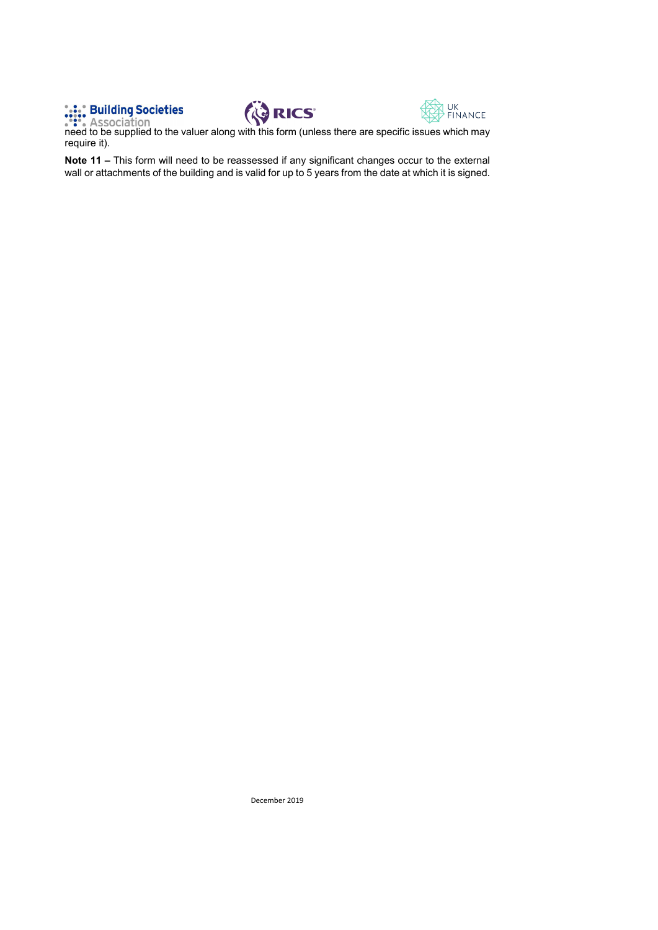





**Example 19 Societies**<br> **RICS**<br> **RICS**<br> **RICS**<br> **RICS**<br> **RICS**<br> **RICS**<br> **RICS**<br> **RICS**<br> **RICS**<br> **RICS**<br> **RICS**<br> **RICS**<br> **RICS**<br> **RIGG**<br> **RIGG**<br> **RIGG**<br> **RIGG**<br> **RIGG**<br> **RIGG**<br> **RIGG**<br> **RIGG**<br> **RIGG**<br> **RIGG**<br> **RIGG**<br> **RIGG** require it).

Note 11 - This form will need to be reassessed if any significant changes occur to the external wall or attachments of the building and is valid for up to 5 years from the date at which it is signed.

December 2019